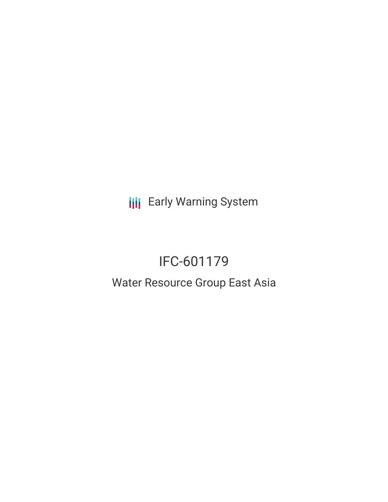**III** Early Warning System

# IFC-601179

# Water Resource Group East Asia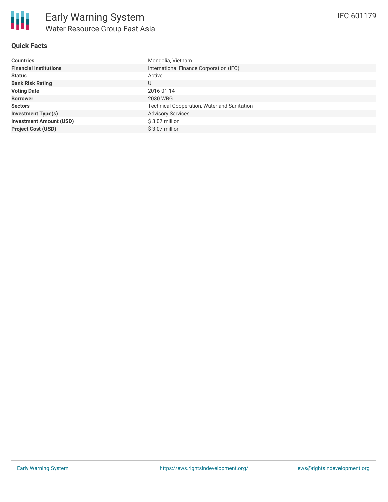## **Quick Facts**

| <b>Countries</b>               | Mongolia, Vietnam                                  |
|--------------------------------|----------------------------------------------------|
| <b>Financial Institutions</b>  | International Finance Corporation (IFC)            |
| <b>Status</b>                  | Active                                             |
| <b>Bank Risk Rating</b>        | U                                                  |
| <b>Voting Date</b>             | 2016-01-14                                         |
| <b>Borrower</b>                | 2030 WRG                                           |
| <b>Sectors</b>                 | <b>Technical Cooperation, Water and Sanitation</b> |
| <b>Investment Type(s)</b>      | <b>Advisory Services</b>                           |
| <b>Investment Amount (USD)</b> | \$3.07 million                                     |
| <b>Project Cost (USD)</b>      | \$3.07 million                                     |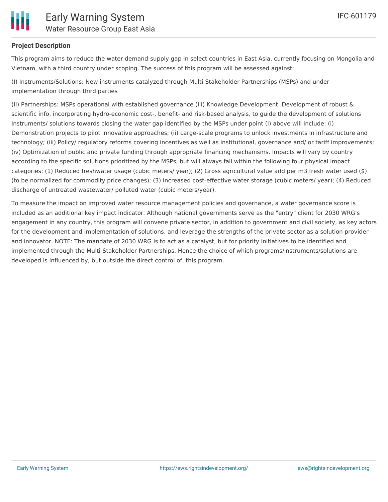

## **Project Description**

This program aims to reduce the water demand-supply gap in select countries in East Asia, currently focusing on Mongolia and Vietnam, with a third country under scoping. The success of this program will be assessed against:

(I) Instruments/Solutions: New instruments catalyzed through Multi-Stakeholder Partnerships (MSPs) and under implementation through third parties

(II) Partnerships: MSPs operational with established governance (III) Knowledge Development: Development of robust & scientific info, incorporating hydro-economic cost-, benefit- and risk-based analysis, to guide the development of solutions Instruments/ solutions towards closing the water gap identified by the MSPs under point (I) above will include: (i) Demonstration projects to pilot innovative approaches; (ii) Large-scale programs to unlock investments in infrastructure and technology; (iii) Policy/ regulatory reforms covering incentives as well as institutional, governance and/ or tariff improvements; (iv) Optimization of public and private funding through appropriate financing mechanisms. Impacts will vary by country according to the specific solutions prioritized by the MSPs, but will always fall within the following four physical impact categories: (1) Reduced freshwater usage (cubic meters/ year); (2) Gross agricultural value add per m3 fresh water used (\$) (to be normalized for commodity price changes); (3) Increased cost-effective water storage (cubic meters/ year); (4) Reduced discharge of untreated wastewater/ polluted water (cubic meters/year).

To measure the impact on improved water resource management policies and governance, a water governance score is included as an additional key impact indicator. Although national governments serve as the "entry" client for 2030 WRG's engagement in any country, this program will convene private sector, in addition to government and civil society, as key actors for the development and implementation of solutions, and leverage the strengths of the private sector as a solution provider and innovator. NOTE: The mandate of 2030 WRG is to act as a catalyst, but for priority initiatives to be identified and implemented through the Multi-Stakeholder Partnerships. Hence the choice of which programs/instruments/solutions are developed is influenced by, but outside the direct control of, this program.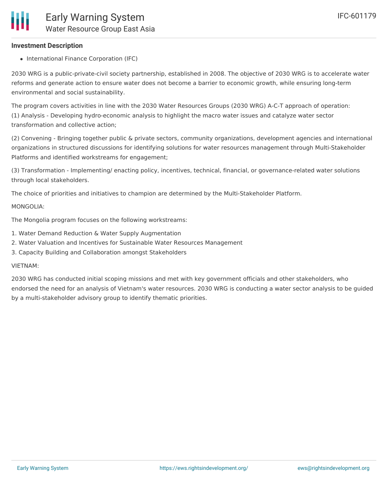#### **Investment Description**

• International Finance Corporation (IFC)

2030 WRG is a public-private-civil society partnership, established in 2008. The objective of 2030 WRG is to accelerate water reforms and generate action to ensure water does not become a barrier to economic growth, while ensuring long-term environmental and social sustainability.

The program covers activities in line with the 2030 Water Resources Groups (2030 WRG) A-C-T approach of operation: (1) Analysis - Developing hydro-economic analysis to highlight the macro water issues and catalyze water sector transformation and collective action;

(2) Convening - Bringing together public & private sectors, community organizations, development agencies and international organizations in structured discussions for identifying solutions for water resources management through Multi-Stakeholder Platforms and identified workstreams for engagement;

(3) Transformation - Implementing/ enacting policy, incentives, technical, financial, or governance-related water solutions through local stakeholders.

The choice of priorities and initiatives to champion are determined by the Multi-Stakeholder Platform.

#### MONGOLIA:

The Mongolia program focuses on the following workstreams:

- 1. Water Demand Reduction & Water Supply Augmentation
- 2. Water Valuation and Incentives for Sustainable Water Resources Management
- 3. Capacity Building and Collaboration amongst Stakeholders

#### VIETNAM:

2030 WRG has conducted initial scoping missions and met with key government officials and other stakeholders, who endorsed the need for an analysis of Vietnam's water resources. 2030 WRG is conducting a water sector analysis to be guided by a multi-stakeholder advisory group to identify thematic priorities.